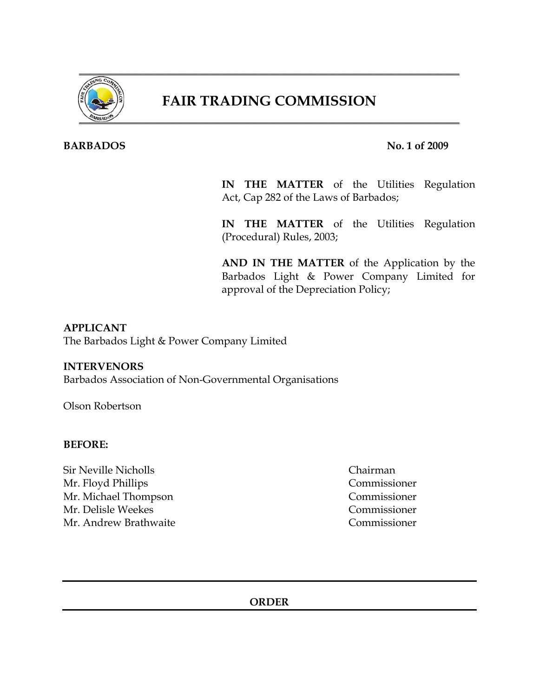

# **FAIR TRADING COMMISSION**

# **BARBADOS** No. 1 of 2009

**IN THE MATTER** of the Utilities Regulation Act, Cap 282 of the Laws of Barbados;

**IN THE MATTER** of the Utilities Regulation (Procedural) Rules, 2003;

**AND IN THE MATTER** of the Application by the Barbados Light & Power Company Limited for approval of the Depreciation Policy;

## **APPLICANT**

The Barbados Light & Power Company Limited

### **INTERVENORS**

Barbados Association of Non-Governmental Organisations

Olson Robertson

### **BEFORE:**

Sir Neville Nicholls Chairman Mr. Floyd Phillips Commissioner Mr. Michael Thompson Commissioner Mr. Delisle Weekes Commissioner Mr. Andrew Brathwaite Commissioner

**ORDER**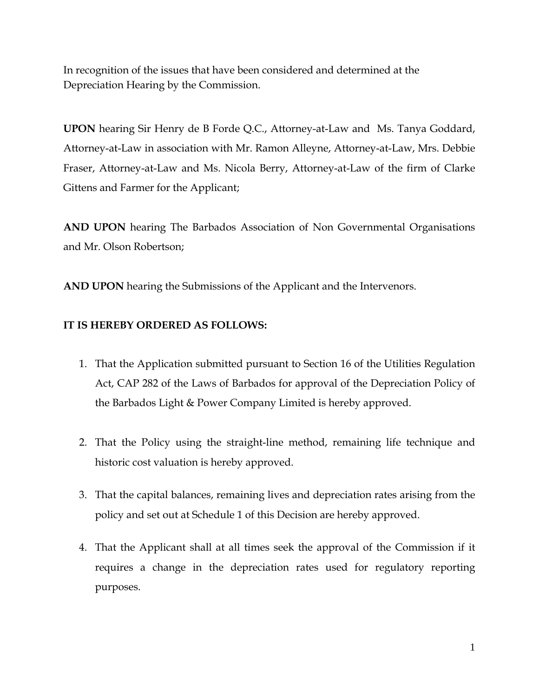In recognition of the issues that have been considered and determined at the Depreciation Hearing by the Commission.

**UPON** hearing Sir Henry de B Forde Q.C., Attorney-at-Law and Ms. Tanya Goddard, Attorney-at-Law in association with Mr. Ramon Alleyne, Attorney-at-Law, Mrs. Debbie Fraser, Attorney-at-Law and Ms. Nicola Berry, Attorney-at-Law of the firm of Clarke Gittens and Farmer for the Applicant;

**AND UPON** hearing The Barbados Association of Non Governmental Organisations and Mr. Olson Robertson;

**AND UPON** hearing the Submissions of the Applicant and the Intervenors.

# **IT IS HEREBY ORDERED AS FOLLOWS:**

- 1. That the Application submitted pursuant to Section 16 of the Utilities Regulation Act, CAP 282 of the Laws of Barbados for approval of the Depreciation Policy of the Barbados Light & Power Company Limited is hereby approved.
- 2. That the Policy using the straight-line method, remaining life technique and historic cost valuation is hereby approved.
- 3. That the capital balances, remaining lives and depreciation rates arising from the policy and set out at Schedule 1 of this Decision are hereby approved.
- 4. That the Applicant shall at all times seek the approval of the Commission if it requires a change in the depreciation rates used for regulatory reporting purposes.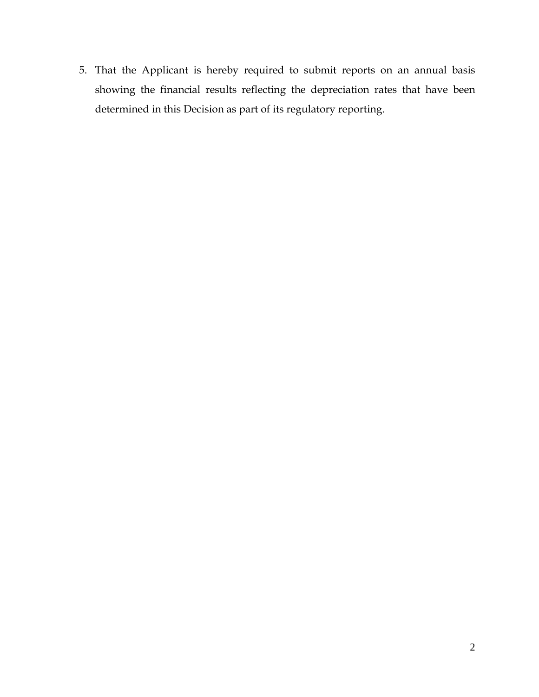5. That the Applicant is hereby required to submit reports on an annual basis showing the financial results reflecting the depreciation rates that have been determined in this Decision as part of its regulatory reporting.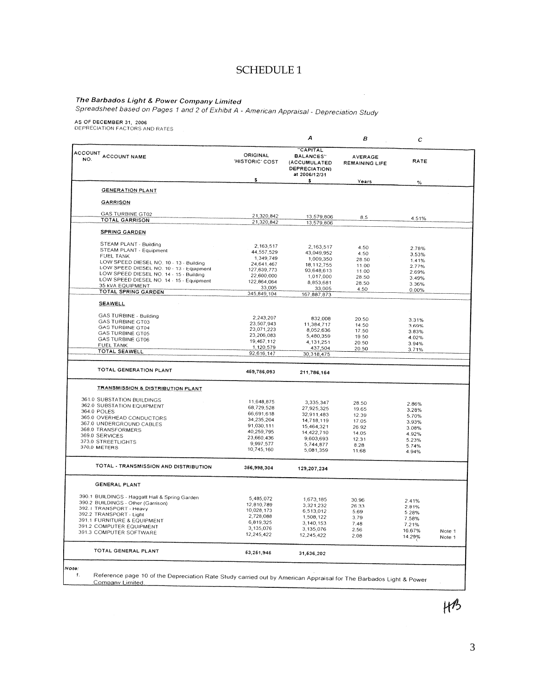# **SCHEDULE 1**

 $\mathcal{L}$ 

T<mark>he Barbados Light & Power Company Limited</mark><br>Spreadsheet based on Pages 1 and 2 of Exhibit A - American Appraisal - Depreciation Study

AS OF DECEMBER 31, 2006<br>DEPRECIATION FACTORS AND RATES

| <b>CAPITAL</b><br>ACCOUNT ACCOUNT NAME<br>ORIGINAL<br><b>BALANCES"</b><br><b>AVERAGE</b><br>'HISTORIC' COST<br><b>RATE</b><br>(ACCUMULATED<br><b>REMAINING LIFE</b><br>DEPRECIATION)<br>at 2006/12/31<br>\$<br>s<br>Years<br>%<br><b>GENERATION PLANT</b><br><b>GARRISON</b><br><b>GAS TURBINE GT02</b><br>21,320,842<br>13,579,806<br>8.5<br>4.51%<br><b>TOTAL GARRISON</b><br>21,320,842<br>13,579,806<br><b>SPRING GARDEN</b><br>STEAM PLANT - Building<br>2,163,517<br>2,163,517<br>4.50<br>2.78%<br>STEAM PLANT - Equipment<br>44,557,529<br>43,049.952<br>4.50<br>3.53%<br><b>FUEL TANK</b><br>1,349,749<br>1,009,350<br>28.50<br>1.41%<br>LOW SPEED DIESEL NO. 10 - 13 - Building<br>24,641,467<br>18, 112, 755<br>11.00<br>2.77%<br>LOW SPEED DIESEL NO. 10 - 13 - Equipment<br>127,639,773<br>93,648,613<br>11.00<br>2.69%<br>LOW SPEED DIESEL NO. 14 - 15 - Building<br>22,600,000<br>1,017,000<br>28.50<br>3.49%<br>LOW SPEED DIESEL NO. 14 - 15 - Equipment<br>122,864,064<br>8,853,681<br>28.50<br>3.36%<br>35 KVA EQUIPMENT<br>33,005<br>33,005<br>4.50<br>0.00%<br><b>TOTAL SPRING GARDEN</b><br>345,849,104<br>167,887,873<br><b>SEAWELL</b><br>GAS TURBINE - Building<br>2,243,207<br>832,008<br>20.50<br>3.31%<br><b>GAS TURBINE GT03</b><br>23,507,943<br>11,384,717<br>14.50<br>3.69%<br><b>GAS TURBINE GT04</b><br>23,071,223<br>8,052,636<br>17.50<br>3.83%<br><b>GAS TURBINE GT05</b><br>23,206,083<br>5,480,359<br>19.50<br>4.02%<br><b>GAS TURBINE GT06</b><br>19,467,112<br>4,131,251<br>20.50<br>3.94%<br><b>FUEL TANK</b><br>1,120,579<br>437,504<br>20.50<br>3.71%<br>TOTAL SEAWELL<br>92,616,147<br>30,318,475<br>TOTAL GENERATION PLANT<br>469,786,093<br>211,786,164<br><b>TRANSMISSION &amp; DISTRIBUTION PLANT</b><br>361.0 SUBSTATION BUILDINGS<br>11,648,875<br>3,335,347<br>28.50<br>2.86%<br>362.0 SUBSTATION EQUIPMENT<br>68,729,528<br>27,925,325<br>19.65<br>3.28%<br>364.0 POLES<br>66,691,618<br>32,911,483<br>12.39<br>5.70%<br>365.0 OVERHEAD CONDUCTORS<br>34,235,204<br>14,718,119<br>17.05<br>3.93%<br>367.0 UNDERGROUND CABLES<br>91,030,111<br>15,464,321<br>26.92<br>3.08%<br>368.0 TRANSFORMERS<br>40,259,795<br>14,422,710<br>14.05<br>4.92%<br>369.0 SERVICES<br>23,660,436<br>9,603,693<br>12.31<br>5.23%<br>373.0 STREETLIGHTS<br>9,997.577<br>5,744,877<br>8.28<br>5.74%<br>370,0 METERS<br>10,745,160<br>5,081,359<br>11.68<br>4.94%<br>TOTAL - TRANSMISSION AND DISTRIBUTION<br>366,998,304<br>129,207,234<br><b>GENERAL PLANT</b><br>390.1 BUILDINGS - Haggatt Hall & Spring Garden<br>5,485,072<br>1,673,185<br>30.96<br>2.41%<br>390.2 BUILDINGS - Other (Garrison)<br>12.810.789<br>3,321,232<br>26.33<br>2.81%<br>392.1 TRANSPORT - Heavy<br>10,028,173<br>6,513,012<br>5.69<br>5.28%<br>392.2 TRANSPORT - Light<br>2,728,088<br>1,508,122<br>3.79<br>7.58%<br>391.1 FURNITURE & EQUIPMENT<br>6,819,325<br>3,140,153<br>7.48<br>7.21%<br>391.2 COMPUTER EQUIPMENT<br>3.135,076<br>3.135,076<br>2.56<br>16.67%<br>391.3 COMPUTER SOFTWARE<br>12,245,422<br>12,245,422<br>2.08<br>14.29% |  | А | в | $\mathbf c$ |                  |
|--------------------------------------------------------------------------------------------------------------------------------------------------------------------------------------------------------------------------------------------------------------------------------------------------------------------------------------------------------------------------------------------------------------------------------------------------------------------------------------------------------------------------------------------------------------------------------------------------------------------------------------------------------------------------------------------------------------------------------------------------------------------------------------------------------------------------------------------------------------------------------------------------------------------------------------------------------------------------------------------------------------------------------------------------------------------------------------------------------------------------------------------------------------------------------------------------------------------------------------------------------------------------------------------------------------------------------------------------------------------------------------------------------------------------------------------------------------------------------------------------------------------------------------------------------------------------------------------------------------------------------------------------------------------------------------------------------------------------------------------------------------------------------------------------------------------------------------------------------------------------------------------------------------------------------------------------------------------------------------------------------------------------------------------------------------------------------------------------------------------------------------------------------------------------------------------------------------------------------------------------------------------------------------------------------------------------------------------------------------------------------------------------------------------------------------------------------------------------------------------------------------------------------------------------------------------------------------------------------------------------------------------------------------------------------------------------------------------------------------------------------------------------------------------------------------------------------------------------------------------------------------------------------------------------------------------------------------------------------------------------------------------------------------------------------|--|---|---|-------------|------------------|
|                                                                                                                                                                                                                                                                                                                                                                                                                                                                                                                                                                                                                                                                                                                                                                                                                                                                                                                                                                                                                                                                                                                                                                                                                                                                                                                                                                                                                                                                                                                                                                                                                                                                                                                                                                                                                                                                                                                                                                                                                                                                                                                                                                                                                                                                                                                                                                                                                                                                                                                                                                                                                                                                                                                                                                                                                                                                                                                                                                                                                                                        |  |   |   |             |                  |
|                                                                                                                                                                                                                                                                                                                                                                                                                                                                                                                                                                                                                                                                                                                                                                                                                                                                                                                                                                                                                                                                                                                                                                                                                                                                                                                                                                                                                                                                                                                                                                                                                                                                                                                                                                                                                                                                                                                                                                                                                                                                                                                                                                                                                                                                                                                                                                                                                                                                                                                                                                                                                                                                                                                                                                                                                                                                                                                                                                                                                                                        |  |   |   |             |                  |
|                                                                                                                                                                                                                                                                                                                                                                                                                                                                                                                                                                                                                                                                                                                                                                                                                                                                                                                                                                                                                                                                                                                                                                                                                                                                                                                                                                                                                                                                                                                                                                                                                                                                                                                                                                                                                                                                                                                                                                                                                                                                                                                                                                                                                                                                                                                                                                                                                                                                                                                                                                                                                                                                                                                                                                                                                                                                                                                                                                                                                                                        |  |   |   |             |                  |
|                                                                                                                                                                                                                                                                                                                                                                                                                                                                                                                                                                                                                                                                                                                                                                                                                                                                                                                                                                                                                                                                                                                                                                                                                                                                                                                                                                                                                                                                                                                                                                                                                                                                                                                                                                                                                                                                                                                                                                                                                                                                                                                                                                                                                                                                                                                                                                                                                                                                                                                                                                                                                                                                                                                                                                                                                                                                                                                                                                                                                                                        |  |   |   |             |                  |
|                                                                                                                                                                                                                                                                                                                                                                                                                                                                                                                                                                                                                                                                                                                                                                                                                                                                                                                                                                                                                                                                                                                                                                                                                                                                                                                                                                                                                                                                                                                                                                                                                                                                                                                                                                                                                                                                                                                                                                                                                                                                                                                                                                                                                                                                                                                                                                                                                                                                                                                                                                                                                                                                                                                                                                                                                                                                                                                                                                                                                                                        |  |   |   |             |                  |
|                                                                                                                                                                                                                                                                                                                                                                                                                                                                                                                                                                                                                                                                                                                                                                                                                                                                                                                                                                                                                                                                                                                                                                                                                                                                                                                                                                                                                                                                                                                                                                                                                                                                                                                                                                                                                                                                                                                                                                                                                                                                                                                                                                                                                                                                                                                                                                                                                                                                                                                                                                                                                                                                                                                                                                                                                                                                                                                                                                                                                                                        |  |   |   |             |                  |
|                                                                                                                                                                                                                                                                                                                                                                                                                                                                                                                                                                                                                                                                                                                                                                                                                                                                                                                                                                                                                                                                                                                                                                                                                                                                                                                                                                                                                                                                                                                                                                                                                                                                                                                                                                                                                                                                                                                                                                                                                                                                                                                                                                                                                                                                                                                                                                                                                                                                                                                                                                                                                                                                                                                                                                                                                                                                                                                                                                                                                                                        |  |   |   |             |                  |
|                                                                                                                                                                                                                                                                                                                                                                                                                                                                                                                                                                                                                                                                                                                                                                                                                                                                                                                                                                                                                                                                                                                                                                                                                                                                                                                                                                                                                                                                                                                                                                                                                                                                                                                                                                                                                                                                                                                                                                                                                                                                                                                                                                                                                                                                                                                                                                                                                                                                                                                                                                                                                                                                                                                                                                                                                                                                                                                                                                                                                                                        |  |   |   |             |                  |
|                                                                                                                                                                                                                                                                                                                                                                                                                                                                                                                                                                                                                                                                                                                                                                                                                                                                                                                                                                                                                                                                                                                                                                                                                                                                                                                                                                                                                                                                                                                                                                                                                                                                                                                                                                                                                                                                                                                                                                                                                                                                                                                                                                                                                                                                                                                                                                                                                                                                                                                                                                                                                                                                                                                                                                                                                                                                                                                                                                                                                                                        |  |   |   |             |                  |
|                                                                                                                                                                                                                                                                                                                                                                                                                                                                                                                                                                                                                                                                                                                                                                                                                                                                                                                                                                                                                                                                                                                                                                                                                                                                                                                                                                                                                                                                                                                                                                                                                                                                                                                                                                                                                                                                                                                                                                                                                                                                                                                                                                                                                                                                                                                                                                                                                                                                                                                                                                                                                                                                                                                                                                                                                                                                                                                                                                                                                                                        |  |   |   |             |                  |
|                                                                                                                                                                                                                                                                                                                                                                                                                                                                                                                                                                                                                                                                                                                                                                                                                                                                                                                                                                                                                                                                                                                                                                                                                                                                                                                                                                                                                                                                                                                                                                                                                                                                                                                                                                                                                                                                                                                                                                                                                                                                                                                                                                                                                                                                                                                                                                                                                                                                                                                                                                                                                                                                                                                                                                                                                                                                                                                                                                                                                                                        |  |   |   |             |                  |
|                                                                                                                                                                                                                                                                                                                                                                                                                                                                                                                                                                                                                                                                                                                                                                                                                                                                                                                                                                                                                                                                                                                                                                                                                                                                                                                                                                                                                                                                                                                                                                                                                                                                                                                                                                                                                                                                                                                                                                                                                                                                                                                                                                                                                                                                                                                                                                                                                                                                                                                                                                                                                                                                                                                                                                                                                                                                                                                                                                                                                                                        |  |   |   |             |                  |
|                                                                                                                                                                                                                                                                                                                                                                                                                                                                                                                                                                                                                                                                                                                                                                                                                                                                                                                                                                                                                                                                                                                                                                                                                                                                                                                                                                                                                                                                                                                                                                                                                                                                                                                                                                                                                                                                                                                                                                                                                                                                                                                                                                                                                                                                                                                                                                                                                                                                                                                                                                                                                                                                                                                                                                                                                                                                                                                                                                                                                                                        |  |   |   |             |                  |
|                                                                                                                                                                                                                                                                                                                                                                                                                                                                                                                                                                                                                                                                                                                                                                                                                                                                                                                                                                                                                                                                                                                                                                                                                                                                                                                                                                                                                                                                                                                                                                                                                                                                                                                                                                                                                                                                                                                                                                                                                                                                                                                                                                                                                                                                                                                                                                                                                                                                                                                                                                                                                                                                                                                                                                                                                                                                                                                                                                                                                                                        |  |   |   |             |                  |
|                                                                                                                                                                                                                                                                                                                                                                                                                                                                                                                                                                                                                                                                                                                                                                                                                                                                                                                                                                                                                                                                                                                                                                                                                                                                                                                                                                                                                                                                                                                                                                                                                                                                                                                                                                                                                                                                                                                                                                                                                                                                                                                                                                                                                                                                                                                                                                                                                                                                                                                                                                                                                                                                                                                                                                                                                                                                                                                                                                                                                                                        |  |   |   |             |                  |
|                                                                                                                                                                                                                                                                                                                                                                                                                                                                                                                                                                                                                                                                                                                                                                                                                                                                                                                                                                                                                                                                                                                                                                                                                                                                                                                                                                                                                                                                                                                                                                                                                                                                                                                                                                                                                                                                                                                                                                                                                                                                                                                                                                                                                                                                                                                                                                                                                                                                                                                                                                                                                                                                                                                                                                                                                                                                                                                                                                                                                                                        |  |   |   |             |                  |
|                                                                                                                                                                                                                                                                                                                                                                                                                                                                                                                                                                                                                                                                                                                                                                                                                                                                                                                                                                                                                                                                                                                                                                                                                                                                                                                                                                                                                                                                                                                                                                                                                                                                                                                                                                                                                                                                                                                                                                                                                                                                                                                                                                                                                                                                                                                                                                                                                                                                                                                                                                                                                                                                                                                                                                                                                                                                                                                                                                                                                                                        |  |   |   |             |                  |
|                                                                                                                                                                                                                                                                                                                                                                                                                                                                                                                                                                                                                                                                                                                                                                                                                                                                                                                                                                                                                                                                                                                                                                                                                                                                                                                                                                                                                                                                                                                                                                                                                                                                                                                                                                                                                                                                                                                                                                                                                                                                                                                                                                                                                                                                                                                                                                                                                                                                                                                                                                                                                                                                                                                                                                                                                                                                                                                                                                                                                                                        |  |   |   |             |                  |
|                                                                                                                                                                                                                                                                                                                                                                                                                                                                                                                                                                                                                                                                                                                                                                                                                                                                                                                                                                                                                                                                                                                                                                                                                                                                                                                                                                                                                                                                                                                                                                                                                                                                                                                                                                                                                                                                                                                                                                                                                                                                                                                                                                                                                                                                                                                                                                                                                                                                                                                                                                                                                                                                                                                                                                                                                                                                                                                                                                                                                                                        |  |   |   |             |                  |
|                                                                                                                                                                                                                                                                                                                                                                                                                                                                                                                                                                                                                                                                                                                                                                                                                                                                                                                                                                                                                                                                                                                                                                                                                                                                                                                                                                                                                                                                                                                                                                                                                                                                                                                                                                                                                                                                                                                                                                                                                                                                                                                                                                                                                                                                                                                                                                                                                                                                                                                                                                                                                                                                                                                                                                                                                                                                                                                                                                                                                                                        |  |   |   |             |                  |
|                                                                                                                                                                                                                                                                                                                                                                                                                                                                                                                                                                                                                                                                                                                                                                                                                                                                                                                                                                                                                                                                                                                                                                                                                                                                                                                                                                                                                                                                                                                                                                                                                                                                                                                                                                                                                                                                                                                                                                                                                                                                                                                                                                                                                                                                                                                                                                                                                                                                                                                                                                                                                                                                                                                                                                                                                                                                                                                                                                                                                                                        |  |   |   |             |                  |
|                                                                                                                                                                                                                                                                                                                                                                                                                                                                                                                                                                                                                                                                                                                                                                                                                                                                                                                                                                                                                                                                                                                                                                                                                                                                                                                                                                                                                                                                                                                                                                                                                                                                                                                                                                                                                                                                                                                                                                                                                                                                                                                                                                                                                                                                                                                                                                                                                                                                                                                                                                                                                                                                                                                                                                                                                                                                                                                                                                                                                                                        |  |   |   |             |                  |
|                                                                                                                                                                                                                                                                                                                                                                                                                                                                                                                                                                                                                                                                                                                                                                                                                                                                                                                                                                                                                                                                                                                                                                                                                                                                                                                                                                                                                                                                                                                                                                                                                                                                                                                                                                                                                                                                                                                                                                                                                                                                                                                                                                                                                                                                                                                                                                                                                                                                                                                                                                                                                                                                                                                                                                                                                                                                                                                                                                                                                                                        |  |   |   |             |                  |
|                                                                                                                                                                                                                                                                                                                                                                                                                                                                                                                                                                                                                                                                                                                                                                                                                                                                                                                                                                                                                                                                                                                                                                                                                                                                                                                                                                                                                                                                                                                                                                                                                                                                                                                                                                                                                                                                                                                                                                                                                                                                                                                                                                                                                                                                                                                                                                                                                                                                                                                                                                                                                                                                                                                                                                                                                                                                                                                                                                                                                                                        |  |   |   |             |                  |
|                                                                                                                                                                                                                                                                                                                                                                                                                                                                                                                                                                                                                                                                                                                                                                                                                                                                                                                                                                                                                                                                                                                                                                                                                                                                                                                                                                                                                                                                                                                                                                                                                                                                                                                                                                                                                                                                                                                                                                                                                                                                                                                                                                                                                                                                                                                                                                                                                                                                                                                                                                                                                                                                                                                                                                                                                                                                                                                                                                                                                                                        |  |   |   |             |                  |
|                                                                                                                                                                                                                                                                                                                                                                                                                                                                                                                                                                                                                                                                                                                                                                                                                                                                                                                                                                                                                                                                                                                                                                                                                                                                                                                                                                                                                                                                                                                                                                                                                                                                                                                                                                                                                                                                                                                                                                                                                                                                                                                                                                                                                                                                                                                                                                                                                                                                                                                                                                                                                                                                                                                                                                                                                                                                                                                                                                                                                                                        |  |   |   |             |                  |
|                                                                                                                                                                                                                                                                                                                                                                                                                                                                                                                                                                                                                                                                                                                                                                                                                                                                                                                                                                                                                                                                                                                                                                                                                                                                                                                                                                                                                                                                                                                                                                                                                                                                                                                                                                                                                                                                                                                                                                                                                                                                                                                                                                                                                                                                                                                                                                                                                                                                                                                                                                                                                                                                                                                                                                                                                                                                                                                                                                                                                                                        |  |   |   |             |                  |
|                                                                                                                                                                                                                                                                                                                                                                                                                                                                                                                                                                                                                                                                                                                                                                                                                                                                                                                                                                                                                                                                                                                                                                                                                                                                                                                                                                                                                                                                                                                                                                                                                                                                                                                                                                                                                                                                                                                                                                                                                                                                                                                                                                                                                                                                                                                                                                                                                                                                                                                                                                                                                                                                                                                                                                                                                                                                                                                                                                                                                                                        |  |   |   |             |                  |
|                                                                                                                                                                                                                                                                                                                                                                                                                                                                                                                                                                                                                                                                                                                                                                                                                                                                                                                                                                                                                                                                                                                                                                                                                                                                                                                                                                                                                                                                                                                                                                                                                                                                                                                                                                                                                                                                                                                                                                                                                                                                                                                                                                                                                                                                                                                                                                                                                                                                                                                                                                                                                                                                                                                                                                                                                                                                                                                                                                                                                                                        |  |   |   |             |                  |
|                                                                                                                                                                                                                                                                                                                                                                                                                                                                                                                                                                                                                                                                                                                                                                                                                                                                                                                                                                                                                                                                                                                                                                                                                                                                                                                                                                                                                                                                                                                                                                                                                                                                                                                                                                                                                                                                                                                                                                                                                                                                                                                                                                                                                                                                                                                                                                                                                                                                                                                                                                                                                                                                                                                                                                                                                                                                                                                                                                                                                                                        |  |   |   |             |                  |
|                                                                                                                                                                                                                                                                                                                                                                                                                                                                                                                                                                                                                                                                                                                                                                                                                                                                                                                                                                                                                                                                                                                                                                                                                                                                                                                                                                                                                                                                                                                                                                                                                                                                                                                                                                                                                                                                                                                                                                                                                                                                                                                                                                                                                                                                                                                                                                                                                                                                                                                                                                                                                                                                                                                                                                                                                                                                                                                                                                                                                                                        |  |   |   |             |                  |
|                                                                                                                                                                                                                                                                                                                                                                                                                                                                                                                                                                                                                                                                                                                                                                                                                                                                                                                                                                                                                                                                                                                                                                                                                                                                                                                                                                                                                                                                                                                                                                                                                                                                                                                                                                                                                                                                                                                                                                                                                                                                                                                                                                                                                                                                                                                                                                                                                                                                                                                                                                                                                                                                                                                                                                                                                                                                                                                                                                                                                                                        |  |   |   |             |                  |
|                                                                                                                                                                                                                                                                                                                                                                                                                                                                                                                                                                                                                                                                                                                                                                                                                                                                                                                                                                                                                                                                                                                                                                                                                                                                                                                                                                                                                                                                                                                                                                                                                                                                                                                                                                                                                                                                                                                                                                                                                                                                                                                                                                                                                                                                                                                                                                                                                                                                                                                                                                                                                                                                                                                                                                                                                                                                                                                                                                                                                                                        |  |   |   |             |                  |
|                                                                                                                                                                                                                                                                                                                                                                                                                                                                                                                                                                                                                                                                                                                                                                                                                                                                                                                                                                                                                                                                                                                                                                                                                                                                                                                                                                                                                                                                                                                                                                                                                                                                                                                                                                                                                                                                                                                                                                                                                                                                                                                                                                                                                                                                                                                                                                                                                                                                                                                                                                                                                                                                                                                                                                                                                                                                                                                                                                                                                                                        |  |   |   |             |                  |
|                                                                                                                                                                                                                                                                                                                                                                                                                                                                                                                                                                                                                                                                                                                                                                                                                                                                                                                                                                                                                                                                                                                                                                                                                                                                                                                                                                                                                                                                                                                                                                                                                                                                                                                                                                                                                                                                                                                                                                                                                                                                                                                                                                                                                                                                                                                                                                                                                                                                                                                                                                                                                                                                                                                                                                                                                                                                                                                                                                                                                                                        |  |   |   |             |                  |
|                                                                                                                                                                                                                                                                                                                                                                                                                                                                                                                                                                                                                                                                                                                                                                                                                                                                                                                                                                                                                                                                                                                                                                                                                                                                                                                                                                                                                                                                                                                                                                                                                                                                                                                                                                                                                                                                                                                                                                                                                                                                                                                                                                                                                                                                                                                                                                                                                                                                                                                                                                                                                                                                                                                                                                                                                                                                                                                                                                                                                                                        |  |   |   |             |                  |
|                                                                                                                                                                                                                                                                                                                                                                                                                                                                                                                                                                                                                                                                                                                                                                                                                                                                                                                                                                                                                                                                                                                                                                                                                                                                                                                                                                                                                                                                                                                                                                                                                                                                                                                                                                                                                                                                                                                                                                                                                                                                                                                                                                                                                                                                                                                                                                                                                                                                                                                                                                                                                                                                                                                                                                                                                                                                                                                                                                                                                                                        |  |   |   |             |                  |
|                                                                                                                                                                                                                                                                                                                                                                                                                                                                                                                                                                                                                                                                                                                                                                                                                                                                                                                                                                                                                                                                                                                                                                                                                                                                                                                                                                                                                                                                                                                                                                                                                                                                                                                                                                                                                                                                                                                                                                                                                                                                                                                                                                                                                                                                                                                                                                                                                                                                                                                                                                                                                                                                                                                                                                                                                                                                                                                                                                                                                                                        |  |   |   |             |                  |
|                                                                                                                                                                                                                                                                                                                                                                                                                                                                                                                                                                                                                                                                                                                                                                                                                                                                                                                                                                                                                                                                                                                                                                                                                                                                                                                                                                                                                                                                                                                                                                                                                                                                                                                                                                                                                                                                                                                                                                                                                                                                                                                                                                                                                                                                                                                                                                                                                                                                                                                                                                                                                                                                                                                                                                                                                                                                                                                                                                                                                                                        |  |   |   |             |                  |
|                                                                                                                                                                                                                                                                                                                                                                                                                                                                                                                                                                                                                                                                                                                                                                                                                                                                                                                                                                                                                                                                                                                                                                                                                                                                                                                                                                                                                                                                                                                                                                                                                                                                                                                                                                                                                                                                                                                                                                                                                                                                                                                                                                                                                                                                                                                                                                                                                                                                                                                                                                                                                                                                                                                                                                                                                                                                                                                                                                                                                                                        |  |   |   |             |                  |
|                                                                                                                                                                                                                                                                                                                                                                                                                                                                                                                                                                                                                                                                                                                                                                                                                                                                                                                                                                                                                                                                                                                                                                                                                                                                                                                                                                                                                                                                                                                                                                                                                                                                                                                                                                                                                                                                                                                                                                                                                                                                                                                                                                                                                                                                                                                                                                                                                                                                                                                                                                                                                                                                                                                                                                                                                                                                                                                                                                                                                                                        |  |   |   |             |                  |
|                                                                                                                                                                                                                                                                                                                                                                                                                                                                                                                                                                                                                                                                                                                                                                                                                                                                                                                                                                                                                                                                                                                                                                                                                                                                                                                                                                                                                                                                                                                                                                                                                                                                                                                                                                                                                                                                                                                                                                                                                                                                                                                                                                                                                                                                                                                                                                                                                                                                                                                                                                                                                                                                                                                                                                                                                                                                                                                                                                                                                                                        |  |   |   |             |                  |
|                                                                                                                                                                                                                                                                                                                                                                                                                                                                                                                                                                                                                                                                                                                                                                                                                                                                                                                                                                                                                                                                                                                                                                                                                                                                                                                                                                                                                                                                                                                                                                                                                                                                                                                                                                                                                                                                                                                                                                                                                                                                                                                                                                                                                                                                                                                                                                                                                                                                                                                                                                                                                                                                                                                                                                                                                                                                                                                                                                                                                                                        |  |   |   |             |                  |
|                                                                                                                                                                                                                                                                                                                                                                                                                                                                                                                                                                                                                                                                                                                                                                                                                                                                                                                                                                                                                                                                                                                                                                                                                                                                                                                                                                                                                                                                                                                                                                                                                                                                                                                                                                                                                                                                                                                                                                                                                                                                                                                                                                                                                                                                                                                                                                                                                                                                                                                                                                                                                                                                                                                                                                                                                                                                                                                                                                                                                                                        |  |   |   |             |                  |
|                                                                                                                                                                                                                                                                                                                                                                                                                                                                                                                                                                                                                                                                                                                                                                                                                                                                                                                                                                                                                                                                                                                                                                                                                                                                                                                                                                                                                                                                                                                                                                                                                                                                                                                                                                                                                                                                                                                                                                                                                                                                                                                                                                                                                                                                                                                                                                                                                                                                                                                                                                                                                                                                                                                                                                                                                                                                                                                                                                                                                                                        |  |   |   |             |                  |
|                                                                                                                                                                                                                                                                                                                                                                                                                                                                                                                                                                                                                                                                                                                                                                                                                                                                                                                                                                                                                                                                                                                                                                                                                                                                                                                                                                                                                                                                                                                                                                                                                                                                                                                                                                                                                                                                                                                                                                                                                                                                                                                                                                                                                                                                                                                                                                                                                                                                                                                                                                                                                                                                                                                                                                                                                                                                                                                                                                                                                                                        |  |   |   |             |                  |
|                                                                                                                                                                                                                                                                                                                                                                                                                                                                                                                                                                                                                                                                                                                                                                                                                                                                                                                                                                                                                                                                                                                                                                                                                                                                                                                                                                                                                                                                                                                                                                                                                                                                                                                                                                                                                                                                                                                                                                                                                                                                                                                                                                                                                                                                                                                                                                                                                                                                                                                                                                                                                                                                                                                                                                                                                                                                                                                                                                                                                                                        |  |   |   |             | Note 1<br>Note 1 |
| TOTAL GENERAL PLANT<br>63,261,946<br>31,636,202                                                                                                                                                                                                                                                                                                                                                                                                                                                                                                                                                                                                                                                                                                                                                                                                                                                                                                                                                                                                                                                                                                                                                                                                                                                                                                                                                                                                                                                                                                                                                                                                                                                                                                                                                                                                                                                                                                                                                                                                                                                                                                                                                                                                                                                                                                                                                                                                                                                                                                                                                                                                                                                                                                                                                                                                                                                                                                                                                                                                        |  |   |   |             |                  |

 $\mathfrak{Z}$ 

 $H^3$